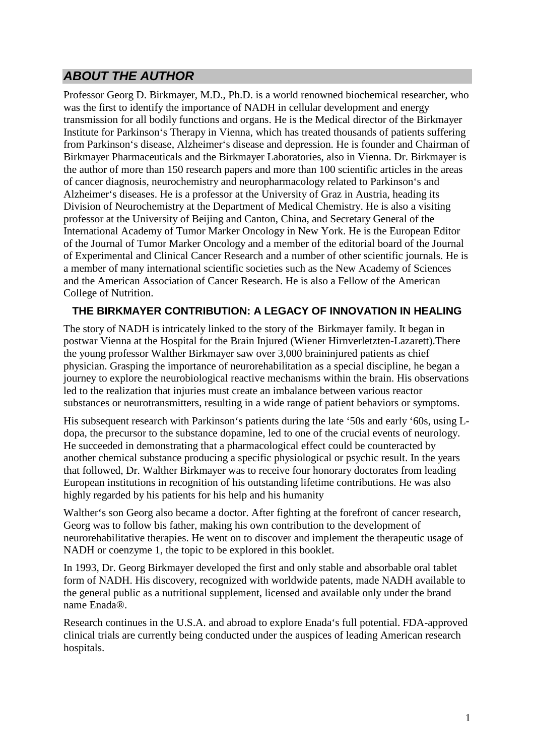# **ABOUT THE AUTHOR**

Professor Georg D. Birkmayer, M.D., Ph.D. is a world renowned biochemical researcher, who was the first to identify the importance of NADH in cellular development and energy transmission for all bodily functions and organs. He is the Medical director of the Birkmayer Institute for Parkinson's Therapy in Vienna, which has treated thousands of patients suffering from Parkinson's disease, Alzheimer's disease and depression. He is founder and Chairman of Birkmayer Pharmaceuticals and the Birkmayer Laboratories, also in Vienna. Dr. Birkmayer is the author of more than 150 research papers and more than 100 scientific articles in the areas of cancer diagnosis, neurochemistry and neuropharmacology related to Parkinson's and Alzheimer's diseases. He is a professor at the University of Graz in Austria, heading its Division of Neurochemistry at the Department of Medical Chemistry. He is also a visiting professor at the University of Beijing and Canton, China, and Secretary General of the International Academy of Tumor Marker Oncology in New York. He is the European Editor of the Journal of Tumor Marker Oncology and a member of the editorial board of the Journal of Experimental and Clinical Cancer Research and a number of other scientific journals. He is a member of many international scientific societies such as the New Academy of Sciences and the American Association of Cancer Research. He is also a Fellow of the American College of Nutrition.

#### **THE BIRKMAYER CONTRIBUTION: A LEGACY OF INNOVATION IN HEALING**

The story of NADH is intricately linked to the story of the Birkmayer family. It began in postwar Vienna at the Hospital for the Brain Injured (Wiener Hirnverletzten-Lazarett).There the young professor Walther Birkmayer saw over 3,000 braininjured patients as chief physician. Grasping the importance of neurorehabilitation as a special discipline, he began a journey to explore the neurobiological reactive mechanisms within the brain. His observations led to the realization that injuries must create an imbalance between various reactor substances or neurotransmitters, resulting in a wide range of patient behaviors or symptoms.

His subsequent research with Parkinson's patients during the late '50s and early '60s, using Ldopa, the precursor to the substance dopamine, led to one of the crucial events of neurology. He succeeded in demonstrating that a pharmacological effect could be counteracted by another chemical substance producing a specific physiological or psychic result. In the years that followed, Dr. Walther Birkmayer was to receive four honorary doctorates from leading European institutions in recognition of his outstanding lifetime contributions. He was also highly regarded by his patients for his help and his humanity

Walther's son Georg also became a doctor. After fighting at the forefront of cancer research, Georg was to follow bis father, making his own contribution to the development of neurorehabilitative therapies. He went on to discover and implement the therapeutic usage of NADH or coenzyme 1, the topic to be explored in this booklet.

In 1993, Dr. Georg Birkmayer developed the first and only stable and absorbable oral tablet form of NADH. His discovery, recognized with worldwide patents, made NADH available to the general public as a nutritional supplement, licensed and available only under the brand name Enada®.

Research continues in the U.S.A. and abroad to explore Enada's full potential. FDA-approved clinical trials are currently being conducted under the auspices of leading American research hospitals.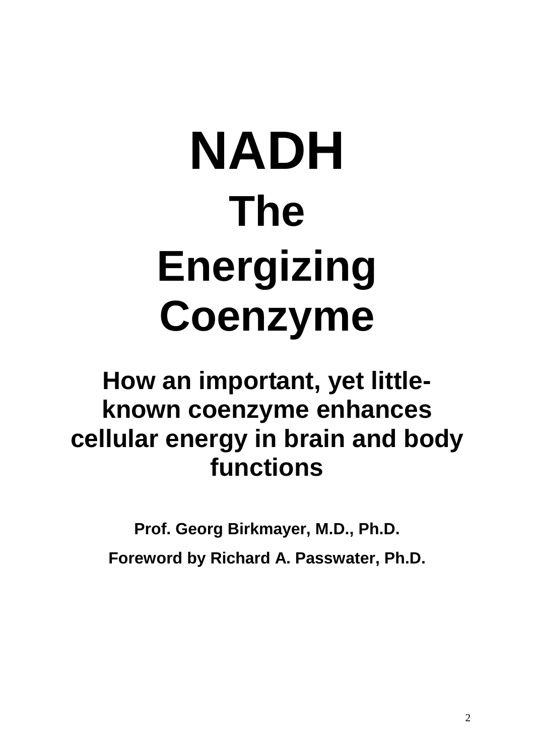# **NADH The Energizing Coenzyme**

# **How an important, yet littleknown coenzyme enhances cellular energy in brain and body functions**

**Prof. Georg Birkmayer, M.D., Ph.D.** 

**Foreword by Richard A. Passwater, Ph.D.**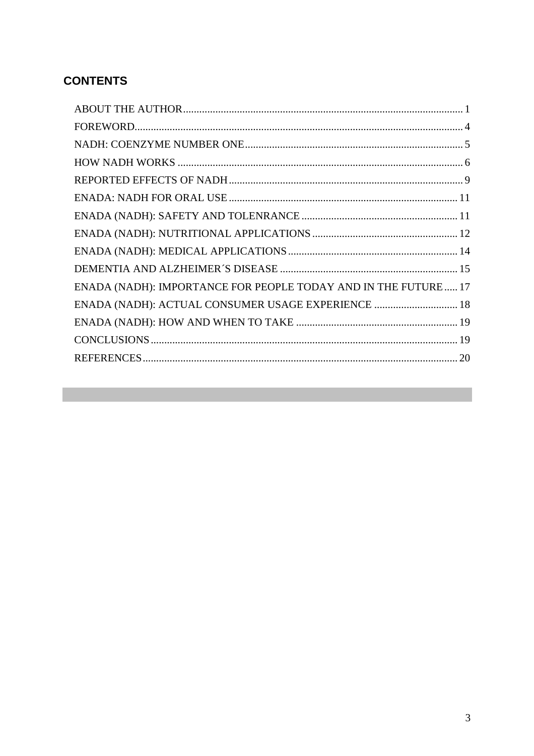# **CONTENTS**

| ENADA (NADH): IMPORTANCE FOR PEOPLE TODAY AND IN THE FUTURE 17 |
|----------------------------------------------------------------|
| ENADA (NADH): ACTUAL CONSUMER USAGE EXPERIENCE  18             |
|                                                                |
|                                                                |
|                                                                |
|                                                                |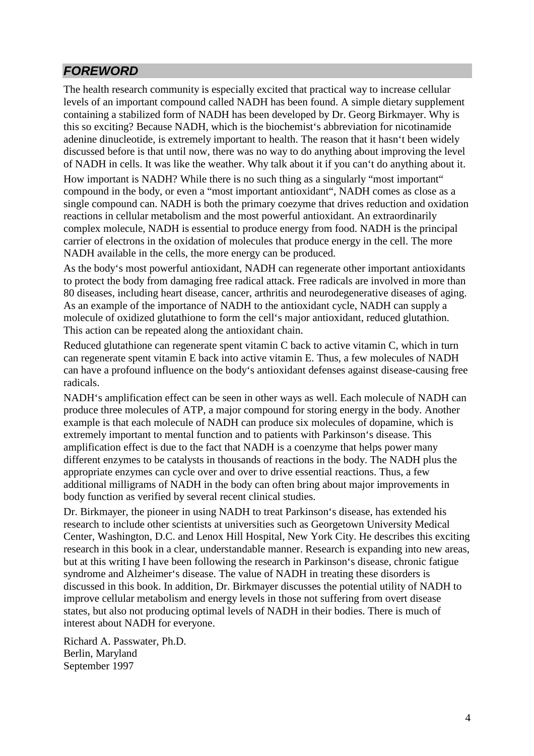# **FOREWORD**

The health research community is especially excited that practical way to increase cellular levels of an important compound called NADH has been found. A simple dietary supplement containing a stabilized form of NADH has been developed by Dr. Georg Birkmayer. Why is this so exciting? Because NADH, which is the biochemist's abbreviation for nicotinamide adenine dinucleotide, is extremely important to health. The reason that it hasn't been widely discussed before is that until now, there was no way to do anything about improving the level of NADH in cells. It was like the weather. Why talk about it if you can't do anything about it.

How important is NADH? While there is no such thing as a singularly "most important" compound in the body, or even a "most important antioxidant", NADH comes as close as a single compound can. NADH is both the primary coezyme that drives reduction and oxidation reactions in cellular metabolism and the most powerful antioxidant. An extraordinarily complex molecule, NADH is essential to produce energy from food. NADH is the principal carrier of electrons in the oxidation of molecules that produce energy in the cell. The more NADH available in the cells, the more energy can be produced.

As the body's most powerful antioxidant, NADH can regenerate other important antioxidants to protect the body from damaging free radical attack. Free radicals are involved in more than 80 diseases, including heart disease, cancer, arthritis and neurodegenerative diseases of aging. As an example of the importance of NADH to the antioxidant cycle, NADH can supply a molecule of oxidized glutathione to form the cell's major antioxidant, reduced glutathion. This action can be repeated along the antioxidant chain.

Reduced glutathione can regenerate spent vitamin C back to active vitamin C, which in turn can regenerate spent vitamin E back into active vitamin E. Thus, a few molecules of NADH can have a profound influence on the body's antioxidant defenses against disease-causing free radicals.

NADH's amplification effect can be seen in other ways as well. Each molecule of NADH can produce three molecules of ATP, a major compound for storing energy in the body. Another example is that each molecule of NADH can produce six molecules of dopamine, which is extremely important to mental function and to patients with Parkinson's disease. This amplification effect is due to the fact that NADH is a coenzyme that helps power many different enzymes to be catalysts in thousands of reactions in the body. The NADH plus the appropriate enzymes can cycle over and over to drive essential reactions. Thus, a few additional milligrams of NADH in the body can often bring about major improvements in body function as verified by several recent clinical studies.

Dr. Birkmayer, the pioneer in using NADH to treat Parkinson's disease, has extended his research to include other scientists at universities such as Georgetown University Medical Center, Washington, D.C. and Lenox Hill Hospital, New York City. He describes this exciting research in this book in a clear, understandable manner. Research is expanding into new areas, but at this writing I have been following the research in Parkinson's disease, chronic fatigue syndrome and Alzheimer's disease. The value of NADH in treating these disorders is discussed in this book. In addition, Dr. Birkmayer discusses the potential utility of NADH to improve cellular metabolism and energy levels in those not suffering from overt disease states, but also not producing optimal levels of NADH in their bodies. There is much of interest about NADH for everyone.

Richard A. Passwater, Ph.D. Berlin, Maryland September 1997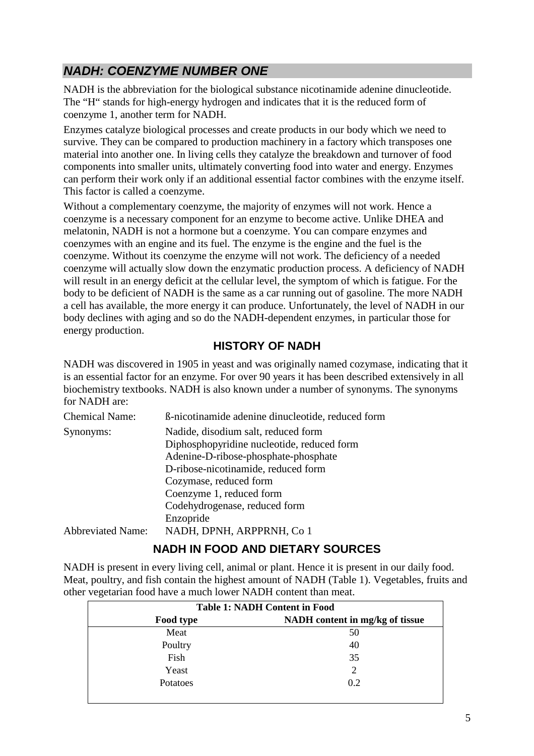# **NADH: COENZYME NUMBER ONE**

NADH is the abbreviation for the biological substance nicotinamide adenine dinucleotide. The "H" stands for high-energy hydrogen and indicates that it is the reduced form of coenzyme 1, another term for NADH.

Enzymes catalyze biological processes and create products in our body which we need to survive. They can be compared to production machinery in a factory which transposes one material into another one. In living cells they catalyze the breakdown and turnover of food components into smaller units, ultimately converting food into water and energy. Enzymes can perform their work only if an additional essential factor combines with the enzyme itself. This factor is called a coenzyme.

Without a complementary coenzyme, the majority of enzymes will not work. Hence a coenzyme is a necessary component for an enzyme to become active. Unlike DHEA and melatonin, NADH is not a hormone but a coenzyme. You can compare enzymes and coenzymes with an engine and its fuel. The enzyme is the engine and the fuel is the coenzyme. Without its coenzyme the enzyme will not work. The deficiency of a needed coenzyme will actually slow down the enzymatic production process. A deficiency of NADH will result in an energy deficit at the cellular level, the symptom of which is fatigue. For the body to be deficient of NADH is the same as a car running out of gasoline. The more NADH a cell has available, the more energy it can produce. Unfortunately, the level of NADH in our body declines with aging and so do the NADH-dependent enzymes, in particular those for energy production.

#### **HISTORY OF NADH**

NADH was discovered in 1905 in yeast and was originally named cozymase, indicating that it is an essential factor for an enzyme. For over 90 years it has been described extensively in all biochemistry textbooks. NADH is also known under a number of synonyms. The synonyms for NADH are:

| <b>Chemical Name:</b>    | B-nicotinamide adenine dinucleotide, reduced form |
|--------------------------|---------------------------------------------------|
| Synonyms:                | Nadide, disodium salt, reduced form               |
|                          | Diphosphopyridine nucleotide, reduced form        |
|                          | Adenine-D-ribose-phosphate-phosphate              |
|                          | D-ribose-nicotinamide, reduced form               |
|                          | Cozymase, reduced form                            |
|                          | Coenzyme 1, reduced form                          |
|                          | Codehydrogenase, reduced form                     |
|                          | Enzopride                                         |
| <b>Abbreviated Name:</b> | NADH, DPNH, ARPPRNH, Co 1                         |

# **NADH IN FOOD AND DIETARY SOURCES**

NADH is present in every living cell, animal or plant. Hence it is present in our daily food. Meat, poultry, and fish contain the highest amount of NADH (Table 1). Vegetables, fruits and other vegetarian food have a much lower NADH content than meat.

| <b>Table 1: NADH Content in Food</b> |                                 |  |  |
|--------------------------------------|---------------------------------|--|--|
| Food type                            | NADH content in mg/kg of tissue |  |  |
| Meat                                 | 50                              |  |  |
| Poultry                              | 40                              |  |  |
| Fish                                 | 35                              |  |  |
| Yeast                                | $\overline{2}$                  |  |  |
| Potatoes                             | 0.2                             |  |  |
|                                      |                                 |  |  |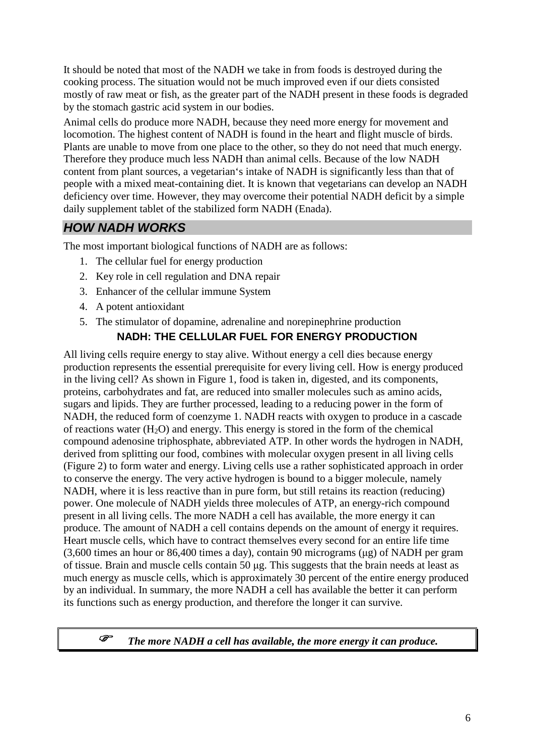It should be noted that most of the NADH we take in from foods is destroyed during the cooking process. The situation would not be much improved even if our diets consisted mostly of raw meat or fish, as the greater part of the NADH present in these foods is degraded by the stomach gastric acid system in our bodies.

Animal cells do produce more NADH, because they need more energy for movement and locomotion. The highest content of NADH is found in the heart and flight muscle of birds. Plants are unable to move from one place to the other, so they do not need that much energy. Therefore they produce much less NADH than animal cells. Because of the low NADH content from plant sources, a vegetarian's intake of NADH is significantly less than that of people with a mixed meat-containing diet. It is known that vegetarians can develop an NADH deficiency over time. However, they may overcome their potential NADH deficit by a simple daily supplement tablet of the stabilized form NADH (Enada).

# **HOW NADH WORKS**

The most important biological functions of NADH are as follows:

- 1. The cellular fuel for energy production
- 2. Key role in cell regulation and DNA repair
- 3. Enhancer of the cellular immune System
- 4. A potent antioxidant
- 5. The stimulator of dopamine, adrenaline and norepinephrine production

#### **NADH: THE CELLULAR FUEL FOR ENERGY PRODUCTION**

All living cells require energy to stay alive. Without energy a cell dies because energy production represents the essential prerequisite for every living cell. How is energy produced in the living cell? As shown in Figure 1, food is taken in, digested, and its components, proteins, carbohydrates and fat, are reduced into smaller molecules such as amino acids, sugars and lipids. They are further processed, leading to a reducing power in the form of NADH, the reduced form of coenzyme 1. NADH reacts with oxygen to produce in a cascade of reactions water  $(H_2O)$  and energy. This energy is stored in the form of the chemical compound adenosine triphosphate, abbreviated ATP. In other words the hydrogen in NADH, derived from splitting our food, combines with molecular oxygen present in all living cells (Figure 2) to form water and energy. Living cells use a rather sophisticated approach in order to conserve the energy. The very active hydrogen is bound to a bigger molecule, namely NADH, where it is less reactive than in pure form, but still retains its reaction (reducing) power. One molecule of NADH yields three molecules of ATP, an energy-rich compound present in all living cells. The more NADH a cell has available, the more energy it can produce. The amount of NADH a cell contains depends on the amount of energy it requires. Heart muscle cells, which have to contract themselves every second for an entire life time (3,600 times an hour or 86,400 times a day), contain 90 micrograms (µg) of NADH per gram of tissue. Brain and muscle cells contain 50 µg. This suggests that the brain needs at least as much energy as muscle cells, which is approximately 30 percent of the entire energy produced by an individual. In summary, the more NADH a cell has available the better it can perform its functions such as energy production, and therefore the longer it can survive.

#### *The more NADH a cell has available, the more energy it can produce.*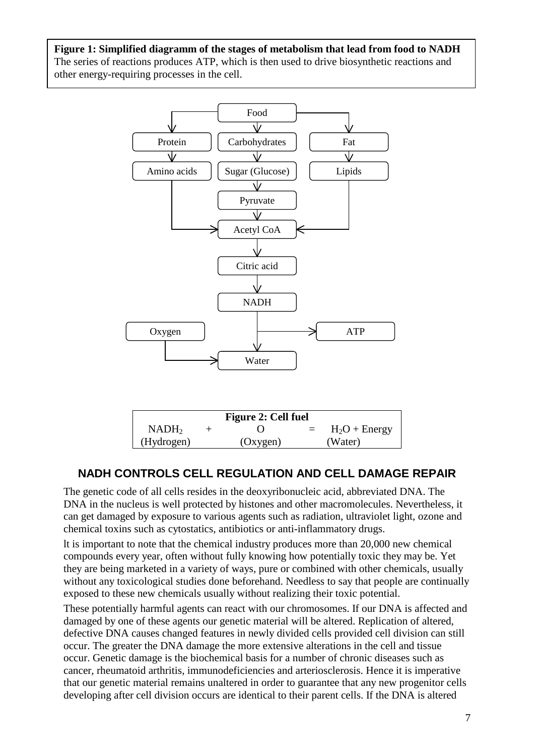**Figure 1: Simplified diagramm of the stages of metabolism that lead from food to NADH** The series of reactions produces ATP, which is then used to drive biosynthetic reactions and other energy-requiring processes in the cell.



| Figure 2: Cell fuel |  |          |  |                 |
|---------------------|--|----------|--|-----------------|
| NADH <sub>2</sub>   |  |          |  | $H_2O$ + Energy |
| (Hydrogen)          |  | (Oxygen) |  | (Water)         |

#### **NADH CONTROLS CELL REGULATION AND CELL DAMAGE REPAIR**

The genetic code of all cells resides in the deoxyribonucleic acid, abbreviated DNA. The DNA in the nucleus is well protected by histones and other macromolecules. Nevertheless, it can get damaged by exposure to various agents such as radiation, ultraviolet light, ozone and chemical toxins such as cytostatics, antibiotics or anti-inflammatory drugs.

lt is important to note that the chemical industry produces more than 20,000 new chemical compounds every year, often without fully knowing how potentially toxic they may be. Yet they are being marketed in a variety of ways, pure or combined with other chemicals, usually without any toxicological studies done beforehand. Needless to say that people are continually exposed to these new chemicals usually without realizing their toxic potential.

These potentially harmful agents can react with our chromosomes. If our DNA is affected and damaged by one of these agents our genetic material will be altered. Replication of altered, defective DNA causes changed features in newly divided cells provided cell division can still occur. The greater the DNA damage the more extensive alterations in the cell and tissue occur. Genetic damage is the biochemical basis for a number of chronic diseases such as cancer, rheumatoid arthritis, immunodeficiencies and arteriosclerosis. Hence it is imperative that our genetic material remains unaltered in order to guarantee that any new progenitor cells developing after cell division occurs are identical to their parent cells. If the DNA is altered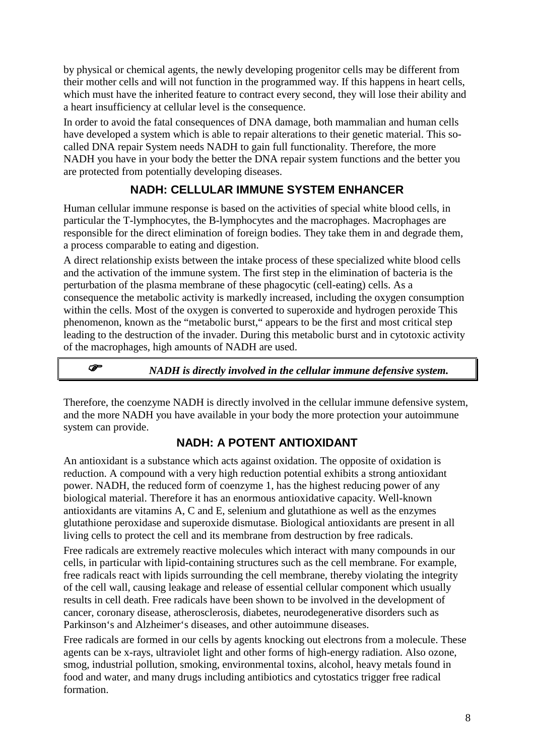by physical or chemical agents, the newly developing progenitor cells may be different from their mother cells and will not function in the programmed way. If this happens in heart cells, which must have the inherited feature to contract every second, they will lose their ability and a heart insufficiency at cellular level is the consequence.

In order to avoid the fatal consequences of DNA damage, both mammalian and human cells have developed a system which is able to repair alterations to their genetic material. This socalled DNA repair System needs NADH to gain full functionality. Therefore, the more NADH you have in your body the better the DNA repair system functions and the better you are protected from potentially developing diseases.

# **NADH: CELLULAR IMMUNE SYSTEM ENHANCER**

Human cellular immune response is based on the activities of special white blood cells, in particular the T-lymphocytes, the B-lymphocytes and the macrophages. Macrophages are responsible for the direct elimination of foreign bodies. They take them in and degrade them, a process comparable to eating and digestion.

A direct relationship exists between the intake process of these specialized white blood cells and the activation of the immune system. The first step in the elimination of bacteria is the perturbation of the plasma membrane of these phagocytic (cell-eating) cells. As a consequence the metabolic activity is markedly increased, including the oxygen consumption within the cells. Most of the oxygen is converted to superoxide and hydrogen peroxide This phenomenon, known as the "metabolic burst," appears to be the first and most critical step leading to the destruction of the invader. During this metabolic burst and in cytotoxic activity of the macrophages, high amounts of NADH are used.

# *NADH is directly involved in the cellular immune defensive system.*

Therefore, the coenzyme NADH is directly involved in the cellular immune defensive system, and the more NADH you have available in your body the more protection your autoimmune system can provide.

#### **NADH: A POTENT ANTIOXIDANT**

An antioxidant is a substance which acts against oxidation. The opposite of oxidation is reduction. A compound with a very high reduction potential exhibits a strong antioxidant power. NADH, the reduced form of coenzyme 1, has the highest reducing power of any biological material. Therefore it has an enormous antioxidative capacity. Well-known antioxidants are vitamins A, C and E, selenium and glutathione as well as the enzymes glutathione peroxidase and superoxide dismutase. Biological antioxidants are present in all living cells to protect the cell and its membrane from destruction by free radicals.

Free radicals are extremely reactive molecules which interact with many compounds in our cells, in particular with lipid-containing structures such as the cell membrane. For example, free radicals react with lipids surrounding the cell membrane, thereby violating the integrity of the cell wall, causing leakage and release of essential cellular component which usually results in cell death. Free radicals have been shown to be involved in the development of cancer, coronary disease, atherosclerosis, diabetes, neurodegenerative disorders such as Parkinson's and Alzheimer's diseases, and other autoimmune diseases.

Free radicals are formed in our cells by agents knocking out electrons from a molecule. These agents can be x-rays, ultraviolet light and other forms of high-energy radiation. Also ozone, smog, industrial pollution, smoking, environmental toxins, alcohol, heavy metals found in food and water, and many drugs including antibiotics and cytostatics trigger free radical formation.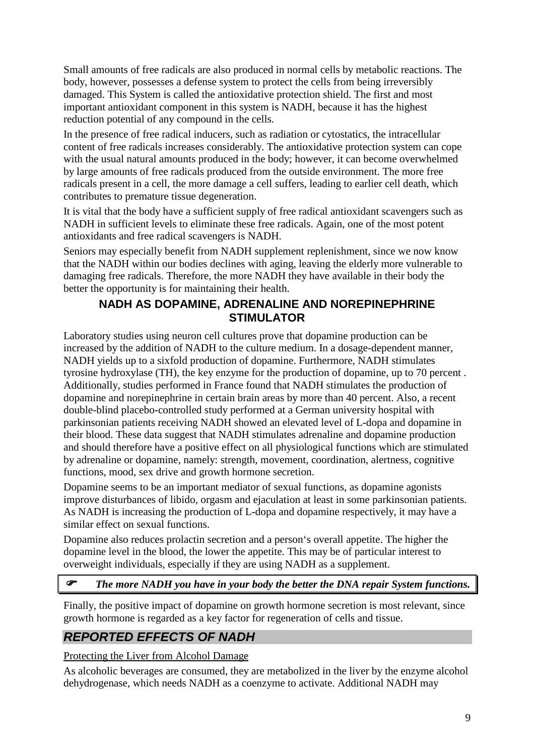Small amounts of free radicals are also produced in normal cells by metabolic reactions. The body, however, possesses a defense system to protect the cells from being irreversibly damaged. This System is called the antioxidative protection shield. The first and most important antioxidant component in this system is NADH, because it has the highest reduction potential of any compound in the cells.

In the presence of free radical inducers, such as radiation or cytostatics, the intracellular content of free radicals increases considerably. The antioxidative protection system can cope with the usual natural amounts produced in the body; however, it can become overwhelmed by large amounts of free radicals produced from the outside environment. The more free radicals present in a cell, the more damage a cell suffers, leading to earlier cell death, which contributes to premature tissue degeneration.

It is vital that the body have a sufficient supply of free radical antioxidant scavengers such as NADH in sufficient levels to eliminate these free radicals. Again, one of the most potent antioxidants and free radical scavengers is NADH.

Seniors may especially benefit from NADH supplement replenishment, since we now know that the NADH within our bodies declines with aging, leaving the elderly more vulnerable to damaging free radicals. Therefore, the more NADH they have available in their body the better the opportunity is for maintaining their health.

#### **NADH AS DOPAMINE, ADRENALINE AND NOREPINEPHRINE STIMULATOR**

Laboratory studies using neuron cell cultures prove that dopamine production can be increased by the addition of NADH to the culture medium. In a dosage-dependent manner, NADH yields up to a sixfold production of dopamine. Furthermore, NADH stimulates tyrosine hydroxylase (TH), the key enzyme for the production of dopamine, up to 70 percent . Additionally, studies performed in France found that NADH stimulates the production of dopamine and norepinephrine in certain brain areas by more than 40 percent. Also, a recent double-blind placebo-controlled study performed at a German university hospital with parkinsonian patients receiving NADH showed an elevated level of L-dopa and dopamine in their blood. These data suggest that NADH stimulates adrenaline and dopamine production and should therefore have a positive effect on all physiological functions which are stimulated by adrenaline or dopamine, namely: strength, movement, coordination, alertness, cognitive functions, mood, sex drive and growth hormone secretion.

Dopamine seems to be an important mediator of sexual functions, as dopamine agonists improve disturbances of libido, orgasm and ejaculation at least in some parkinsonian patients. As NADH is increasing the production of L-dopa and dopamine respectively, it may have a similar effect on sexual functions.

Dopamine also reduces prolactin secretion and a person's overall appetite. The higher the dopamine level in the blood, the lower the appetite. This may be of particular interest to overweight individuals, especially if they are using NADH as a supplement.

# *The more NADH you have in your body the better the DNA repair System functions.*

Finally, the positive impact of dopamine on growth hormone secretion is most relevant, since growth hormone is regarded as a key factor for regeneration of cells and tissue.

# **REPORTED EFFECTS OF NADH**

Protecting the Liver from Alcohol Damage

As alcoholic beverages are consumed, they are metabolized in the liver by the enzyme alcohol dehydrogenase, which needs NADH as a coenzyme to activate. Additional NADH may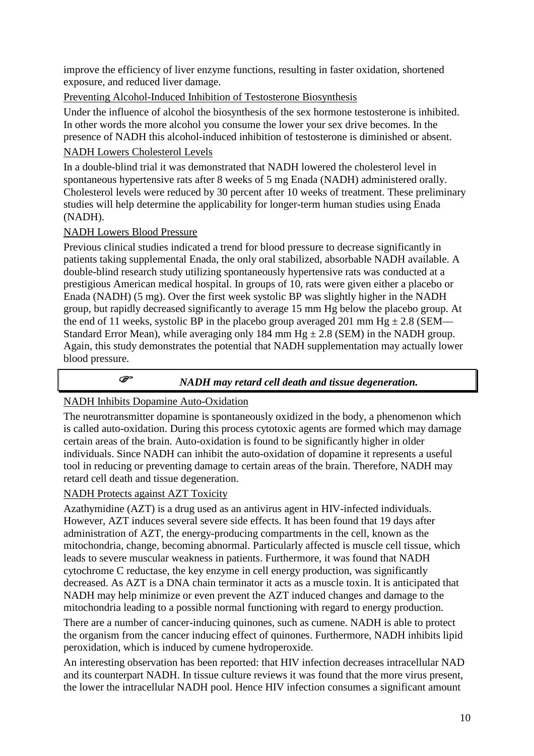improve the efficiency of liver enzyme functions, resulting in faster oxidation, shortened exposure, and reduced liver damage.

Preventing Alcohol-Induced Inhibition of Testosterone Biosynthesis

Under the influence of alcohol the biosynthesis of the sex hormone testosterone is inhibited. In other words the more alcohol you consume the lower your sex drive becomes. In the presence of NADH this alcohol-induced inhibition of testosterone is diminished or absent.

#### NADH Lowers Cholesterol Levels

In a double-blind trial it was demonstrated that NADH lowered the cholesterol level in spontaneous hypertensive rats after 8 weeks of 5 mg Enada (NADH) administered orally. Cholesterol levels were reduced by 30 percent after 10 weeks of treatment. These preliminary studies will help determine the applicability for longer-term human studies using Enada (NADH).

#### NADH Lowers Blood Pressure

Previous clinical studies indicated a trend for blood pressure to decrease significantly in patients taking supplemental Enada, the only oral stabilized, absorbable NADH available. A double-blind research study utilizing spontaneously hypertensive rats was conducted at a prestigious American medical hospital. In groups of 10, rats were given either a placebo or Enada (NADH) (5 mg). Over the first week systolic BP was slightly higher in the NADH group, but rapidly decreased significantly to average 15 mm Hg below the placebo group. At the end of 11 weeks, systolic BP in the placebo group averaged 201 mm Hg  $\pm$  2.8 (SEM— Standard Error Mean), while averaging only 184 mm  $Hg \pm 2.8$  (SEM) in the NADH group. Again, this study demonstrates the potential that NADH supplementation may actually lower blood pressure.

$$
\overline{\mathbb{F}}
$$

# *NADH may retard cell death and tissue degeneration.*

#### NADH Inhibits Dopamine Auto-Oxidation

The neurotransmitter dopamine is spontaneously oxidized in the body, a phenomenon which is called auto-oxidation. During this process cytotoxic agents are formed which may damage certain areas of the brain. Auto-oxidation is found to be significantly higher in older individuals. Since NADH can inhibit the auto-oxidation of dopamine it represents a useful tool in reducing or preventing damage to certain areas of the brain. Therefore, NADH may retard cell death and tissue degeneration.

#### NADH Protects against AZT Toxicity

Azathymidine (AZT) is a drug used as an antivirus agent in HIV-infected individuals. However, AZT induces several severe side effects. It has been found that 19 days after administration of AZT, the energy-producing compartments in the cell, known as the mitochondria, change, becoming abnormal. Particularly affected is muscle cell tissue, which leads to severe muscular weakness in patients. Furthermore, it was found that NADH cytochrome C reductase, the key enzyme in cell energy production, was significantly decreased. As AZT is a DNA chain terminator it acts as a muscle toxin. It is anticipated that NADH may help minimize or even prevent the AZT induced changes and damage to the mitochondria leading to a possible normal functioning with regard to energy production.

There are a number of cancer-inducing quinones, such as cumene. NADH is able to protect the organism from the cancer inducing effect of quinones. Furthermore, NADH inhibits lipid peroxidation, which is induced by cumene hydroperoxide.

An interesting observation has been reported: that HIV infection decreases intracellular NAD and its counterpart NADH. In tissue culture reviews it was found that the more virus present, the lower the intracellular NADH pool. Hence HIV infection consumes a significant amount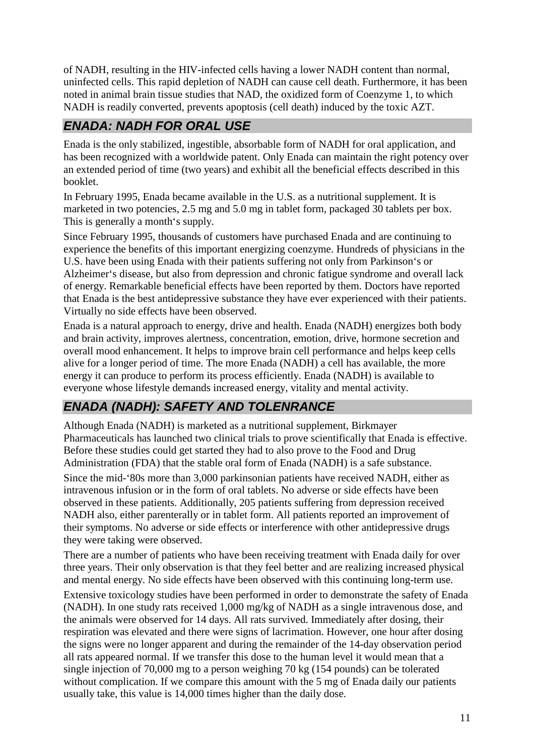of NADH, resulting in the HIV-infected cells having a lower NADH content than normal, uninfected cells. This rapid depletion of NADH can cause cell death. Furthermore, it has been noted in animal brain tissue studies that NAD, the oxidized form of Coenzyme 1, to which NADH is readily converted, prevents apoptosis (cell death) induced by the toxic AZT.

# **ENADA: NADH FOR ORAL USE**

Enada is the only stabilized, ingestible, absorbable form of NADH for oral application, and has been recognized with a worldwide patent. Only Enada can maintain the right potency over an extended period of time (two years) and exhibit all the beneficial effects described in this booklet.

In February 1995, Enada became available in the U.S. as a nutritional supplement. It is marketed in two potencies, 2.5 mg and 5.0 mg in tablet form, packaged 30 tablets per box. This is generally a month's supply.

Since February 1995, thousands of customers have purchased Enada and are continuing to experience the benefits of this important energizing coenzyme. Hundreds of physicians in the U.S. have been using Enada with their patients suffering not only from Parkinson's or Alzheimer's disease, but also from depression and chronic fatigue syndrome and overall lack of energy. Remarkable beneficial effects have been reported by them. Doctors have reported that Enada is the best antidepressive substance they have ever experienced with their patients. Virtually no side effects have been observed.

Enada is a natural approach to energy, drive and health. Enada (NADH) energizes both body and brain activity, improves alertness, concentration, emotion, drive, hormone secretion and overall mood enhancement. It helps to improve brain cell performance and helps keep cells alive for a longer period of time. The more Enada (NADH) a cell has available, the more energy it can produce to perform its process efficiently. Enada (NADH) is available to everyone whose lifestyle demands increased energy, vitality and mental activity.

# **ENADA (NADH): SAFETY AND TOLENRANCE**

Although Enada (NADH) is marketed as a nutritional supplement, Birkmayer Pharmaceuticals has launched two clinical trials to prove scientifically that Enada is effective. Before these studies could get started they had to also prove to the Food and Drug Administration (FDA) that the stable oral form of Enada (NADH) is a safe substance.

Since the mid-'80s more than 3,000 parkinsonian patients have received NADH, either as intravenous infusion or in the form of oral tablets. No adverse or side effects have been observed in these patients. Additionally, 205 patients suffering from depression received NADH also, either parenterally or in tablet form. All patients reported an improvement of their symptoms. No adverse or side effects or interference with other antidepressive drugs they were taking were observed.

There are a number of patients who have been receiving treatment with Enada daily for over three years. Their only observation is that they feel better and are realizing increased physical and mental energy. No side effects have been observed with this continuing long-term use.

Extensive toxicology studies have been performed in order to demonstrate the safety of Enada (NADH). In one study rats received 1,000 mg/kg of NADH as a single intravenous dose, and the animals were observed for 14 days. All rats survived. Immediately after dosing, their respiration was elevated and there were signs of lacrimation. However, one hour after dosing the signs were no longer apparent and during the remainder of the 14-day observation period all rats appeared normal. If we transfer this dose to the human level it would mean that a single injection of 70,000 mg to a person weighing 70 kg (154 pounds) can be tolerated without complication. If we compare this amount with the 5 mg of Enada daily our patients usually take, this value is 14,000 times higher than the daily dose.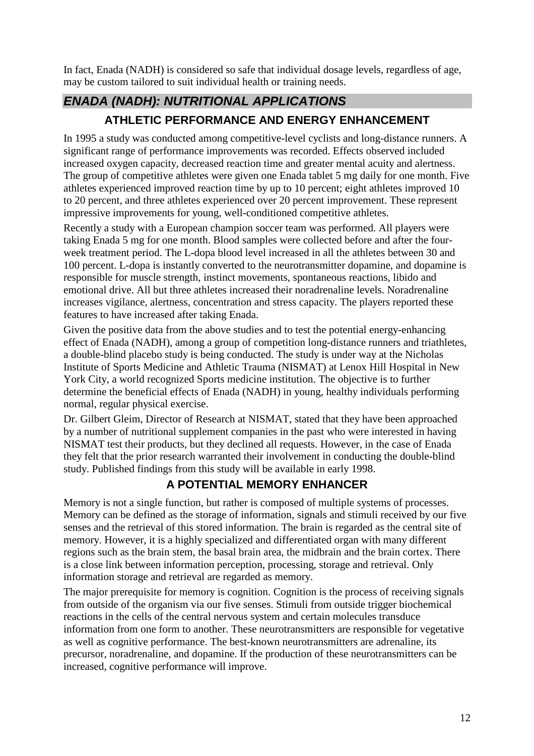In fact, Enada (NADH) is considered so safe that individual dosage levels, regardless of age, may be custom tailored to suit individual health or training needs.

# **ENADA (NADH): NUTRITIONAL APPLICATIONS**

# **ATHLETIC PERFORMANCE AND ENERGY ENHANCEMENT**

In 1995 a study was conducted among competitive-level cyclists and long-distance runners. A significant range of performance improvements was recorded. Effects observed included increased oxygen capacity, decreased reaction time and greater mental acuity and alertness. The group of competitive athletes were given one Enada tablet 5 mg daily for one month. Five athletes experienced improved reaction time by up to 10 percent; eight athletes improved 10 to 20 percent, and three athletes experienced over 20 percent improvement. These represent impressive improvements for young, well-conditioned competitive athletes.

Recently a study with a European champion soccer team was performed. All players were taking Enada 5 mg for one month. Blood samples were collected before and after the fourweek treatment period. The L-dopa blood level increased in all the athletes between 30 and 100 percent. L-dopa is instantly converted to the neurotransmitter dopamine, and dopamine is responsible for muscle strength, instinct movements, spontaneous reactions, libido and emotional drive. All but three athletes increased their noradrenaline levels. Noradrenaline increases vigilance, alertness, concentration and stress capacity. The players reported these features to have increased after taking Enada.

Given the positive data from the above studies and to test the potential energy-enhancing effect of Enada (NADH), among a group of competition long-distance runners and triathletes, a double-blind placebo study is being conducted. The study is under way at the Nicholas Institute of Sports Medicine and Athletic Trauma (NISMAT) at Lenox Hill Hospital in New York City, a world recognized Sports medicine institution. The objective is to further determine the beneficial effects of Enada (NADH) in young, healthy individuals performing normal, regular physical exercise.

Dr. Gilbert Gleim, Director of Research at NISMAT, stated that they have been approached by a number of nutritional supplement companies in the past who were interested in having NISMAT test their products, but they declined all requests. However, in the case of Enada they felt that the prior research warranted their involvement in conducting the double-blind study. Published findings from this study will be available in early 1998.

# **A POTENTIAL MEMORY ENHANCER**

Memory is not a single function, but rather is composed of multiple systems of processes. Memory can be defined as the storage of information, signals and stimuli received by our five senses and the retrieval of this stored information. The brain is regarded as the central site of memory. However, it is a highly specialized and differentiated organ with many different regions such as the brain stem, the basal brain area, the midbrain and the brain cortex. There is a close link between information perception, processing, storage and retrieval. Only information storage and retrieval are regarded as memory.

The major prerequisite for memory is cognition. Cognition is the process of receiving signals from outside of the organism via our five senses. Stimuli from outside trigger biochemical reactions in the cells of the central nervous system and certain molecules transduce information from one form to another. These neurotransmitters are responsible for vegetative as well as cognitive performance. The best-known neurotransmitters are adrenaline, its precursor, noradrenaline, and dopamine. If the production of these neurotransmitters can be increased, cognitive performance will improve.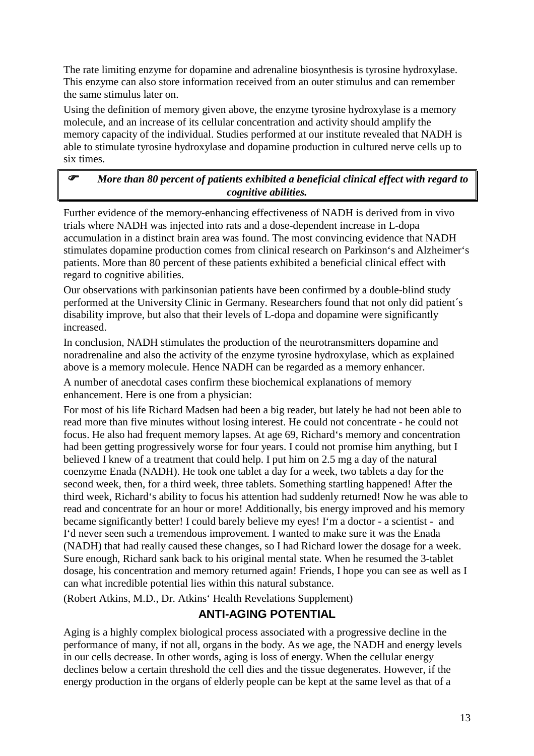The rate limiting enzyme for dopamine and adrenaline biosynthesis is tyrosine hydroxylase. This enzyme can also store information received from an outer stimulus and can remember the same stimulus later on.

Using the definition of memory given above, the enzyme tyrosine hydroxylase is a memory molecule, and an increase of its cellular concentration and activity should amplify the memory capacity of the individual. Studies performed at our institute revealed that NADH is able to stimulate tyrosine hydroxylase and dopamine production in cultured nerve cells up to six times.

#### *More than 80 percent of patients exhibited a beneficial clinical effect with regard to cognitive abilities.*

Further evidence of the memory-enhancing effectiveness of NADH is derived from in vivo trials where NADH was injected into rats and a dose-dependent increase in L-dopa accumulation in a distinct brain area was found. The most convincing evidence that NADH stimulates dopamine production comes from clinical research on Parkinson's and Alzheimer's patients. More than 80 percent of these patients exhibited a beneficial clinical effect with regard to cognitive abilities.

Our observations with parkinsonian patients have been confirmed by a double-blind study performed at the University Clinic in Germany. Researchers found that not only did patient´s disability improve, but also that their levels of L-dopa and dopamine were significantly increased.

In conclusion, NADH stimulates the production of the neurotransmitters dopamine and noradrenaline and also the activity of the enzyme tyrosine hydroxylase, which as explained above is a memory molecule. Hence NADH can be regarded as a memory enhancer.

A number of anecdotal cases confirm these biochemical explanations of memory enhancement. Here is one from a physician:

For most of his life Richard Madsen had been a big reader, but lately he had not been able to read more than five minutes without losing interest. He could not concentrate - he could not focus. He also had frequent memory lapses. At age 69, Richard's memory and concentration had been getting progressively worse for four years. I could not promise him anything, but I believed I knew of a treatment that could help. I put him on 2.5 mg a day of the natural coenzyme Enada (NADH). He took one tablet a day for a week, two tablets a day for the second week, then, for a third week, three tablets. Something startling happened! After the third week, Richard's ability to focus his attention had suddenly returned! Now he was able to read and concentrate for an hour or more! Additionally, bis energy improved and his memory became significantly better! I could barely believe my eyes! I'm a doctor - a scientist - and I'd never seen such a tremendous improvement. I wanted to make sure it was the Enada (NADH) that had really caused these changes, so I had Richard lower the dosage for a week. Sure enough, Richard sank back to his original mental state. When he resumed the 3-tablet dosage, his concentration and memory returned again! Friends, I hope you can see as well as I can what incredible potential lies within this natural substance.

(Robert Atkins, M.D., Dr. Atkins' Health Revelations Supplement)

# **ANTI-AGING POTENTIAL**

Aging is a highly complex biological process associated with a progressive decline in the performance of many, if not all, organs in the body. As we age, the NADH and energy levels in our cells decrease. In other words, aging is loss of energy. When the cellular energy declines below a certain threshold the cell dies and the tissue degenerates. However, if the energy production in the organs of elderly people can be kept at the same level as that of a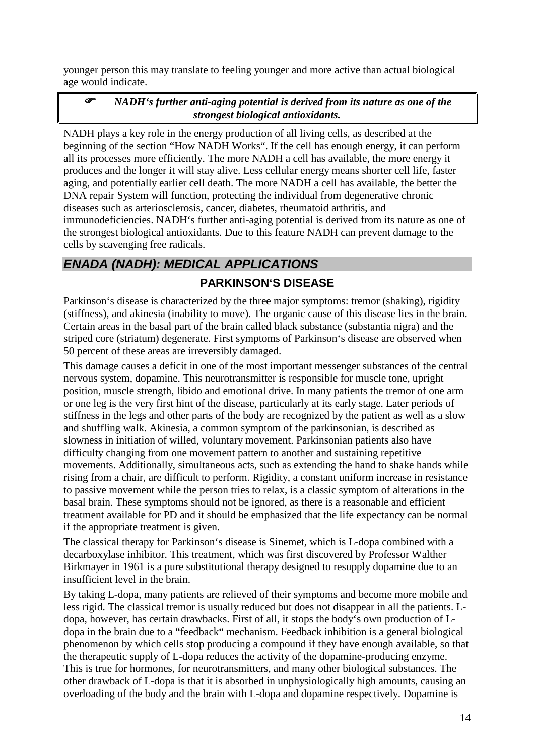younger person this may translate to feeling younger and more active than actual biological age would indicate.

#### *NADH's further anti-aging potential is derived from its nature as one of the strongest biological antioxidants.*

NADH plays a key role in the energy production of all living cells, as described at the beginning of the section "How NADH Works". If the cell has enough energy, it can perform all its processes more efficiently. The more NADH a cell has available, the more energy it produces and the longer it will stay alive. Less cellular energy means shorter cell life, faster aging, and potentially earlier cell death. The more NADH a cell has available, the better the DNA repair System will function, protecting the individual from degenerative chronic diseases such as arteriosclerosis, cancer, diabetes, rheumatoid arthritis, and immunodeficiencies. NADH's further anti-aging potential is derived from its nature as one of the strongest biological antioxidants. Due to this feature NADH can prevent damage to the cells by scavenging free radicals.

# **ENADA (NADH): MEDICAL APPLICATIONS**

#### **PARKINSON'S DISEASE**

Parkinson's disease is characterized by the three major symptoms: tremor (shaking), rigidity (stiffness), and akinesia (inability to move). The organic cause of this disease lies in the brain. Certain areas in the basal part of the brain called black substance (substantia nigra) and the striped core (striatum) degenerate. First symptoms of Parkinson's disease are observed when 50 percent of these areas are irreversibly damaged.

This damage causes a deficit in one of the most important messenger substances of the central nervous system, dopamine. This neurotransmitter is responsible for muscle tone, upright position, muscle strength, libido and emotional drive. In many patients the tremor of one arm or one leg is the very first hint of the disease, particularly at its early stage. Later periods of stiffness in the legs and other parts of the body are recognized by the patient as well as a slow and shuffling walk. Akinesia, a common symptom of the parkinsonian, is described as slowness in initiation of willed, voluntary movement. Parkinsonian patients also have difficulty changing from one movement pattern to another and sustaining repetitive movements. Additionally, simultaneous acts, such as extending the hand to shake hands while rising from a chair, are difficult to perform. Rigidity, a constant uniform increase in resistance to passive movement while the person tries to relax, is a classic symptom of alterations in the basal brain. These symptoms should not be ignored, as there is a reasonable and efficient treatment available for PD and it should be emphasized that the life expectancy can be normal if the appropriate treatment is given.

The classical therapy for Parkinson's disease is Sinemet, which is L-dopa combined with a decarboxylase inhibitor. This treatment, which was first discovered by Professor Walther Birkmayer in 1961 is a pure substitutional therapy designed to resupply dopamine due to an insufficient level in the brain.

By taking L-dopa, many patients are relieved of their symptoms and become more mobile and less rigid. The classical tremor is usually reduced but does not disappear in all the patients. Ldopa, however, has certain drawbacks. First of all, it stops the body's own production of Ldopa in the brain due to a "feedback" mechanism. Feedback inhibition is a general biological phenomenon by which cells stop producing a compound if they have enough available, so that the therapeutic supply of L-dopa reduces the activity of the dopamine-producing enzyme. This is true for hormones, for neurotransmitters, and many other biological substances. The other drawback of L-dopa is that it is absorbed in unphysiologically high amounts, causing an overloading of the body and the brain with L-dopa and dopamine respectively. Dopamine is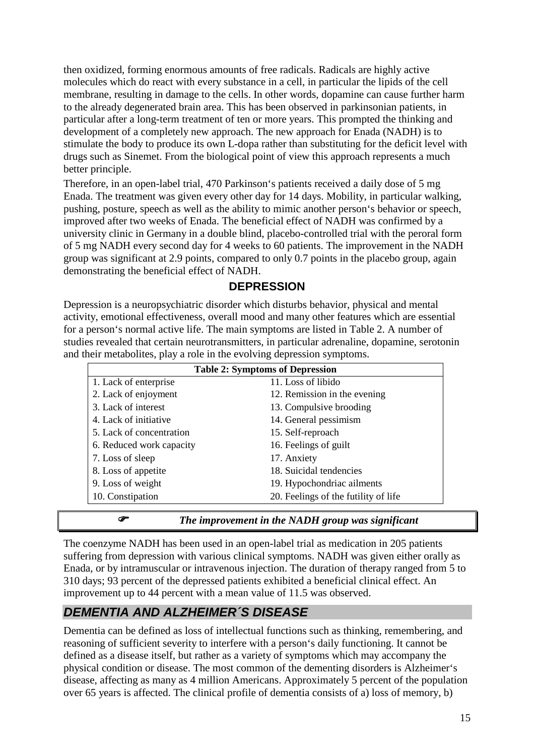then oxidized, forming enormous amounts of free radicals. Radicals are highly active molecules which do react with every substance in a cell, in particular the lipids of the cell membrane, resulting in damage to the cells. In other words, dopamine can cause further harm to the already degenerated brain area. This has been observed in parkinsonian patients, in particular after a long-term treatment of ten or more years. This prompted the thinking and development of a completely new approach. The new approach for Enada (NADH) is to stimulate the body to produce its own L-dopa rather than substituting for the deficit level with drugs such as Sinemet. From the biological point of view this approach represents a much better principle.

Therefore, in an open-label trial, 470 Parkinson's patients received a daily dose of 5 mg Enada. The treatment was given every other day for 14 days. Mobility, in particular walking, pushing, posture, speech as well as the ability to mimic another person's behavior or speech, improved after two weeks of Enada. The beneficial effect of NADH was confirmed by a university clinic in Germany in a double blind, placebo-controlled trial with the peroral form of 5 mg NADH every second day for 4 weeks to 60 patients. The improvement in the NADH group was significant at 2.9 points, compared to only 0.7 points in the placebo group, again demonstrating the beneficial effect of NADH.

#### **DEPRESSION**

Depression is a neuropsychiatric disorder which disturbs behavior, physical and mental activity, emotional effectiveness, overall mood and many other features which are essential for a person's normal active life. The main symptoms are listed in Table 2. A number of studies revealed that certain neurotransmitters, in particular adrenaline, dopamine, serotonin and their metabolites, play a role in the evolving depression symptoms.

| <b>Table 2: Symptoms of Depression</b> |                                      |  |  |
|----------------------------------------|--------------------------------------|--|--|
| 1. Lack of enterprise                  | 11. Loss of libido                   |  |  |
| 2. Lack of enjoyment                   | 12. Remission in the evening         |  |  |
| 3. Lack of interest                    | 13. Compulsive brooding              |  |  |
| 4. Lack of initiative                  | 14. General pessimism                |  |  |
| 5. Lack of concentration               | 15. Self-reproach                    |  |  |
| 6. Reduced work capacity               | 16. Feelings of guilt                |  |  |
| 7. Loss of sleep                       | 17. Anxiety                          |  |  |
| 8. Loss of appetite                    | 18. Suicidal tendencies              |  |  |
| 9. Loss of weight                      | 19. Hypochondriac ailments           |  |  |
| 10. Constipation                       | 20. Feelings of the futility of life |  |  |

#### *The improvement in the NADH group was significant*

The coenzyme NADH has been used in an open-label trial as medication in 205 patients suffering from depression with various clinical symptoms. NADH was given either orally as Enada, or by intramuscular or intravenous injection. The duration of therapy ranged from 5 to 310 days; 93 percent of the depressed patients exhibited a beneficial clinical effect. An improvement up to 44 percent with a mean value of 11.5 was observed.

#### **DEMENTIA AND ALZHEIMER´S DISEASE**

Dementia can be defined as loss of intellectual functions such as thinking, remembering, and reasoning of sufficient severity to interfere with a person's daily functioning. It cannot be defined as a disease itself, but rather as a variety of symptoms which may accompany the physical condition or disease. The most common of the dementing disorders is Alzheimer's disease, affecting as many as 4 million Americans. Approximately 5 percent of the population over 65 years is affected. The clinical profile of dementia consists of a) loss of memory, b)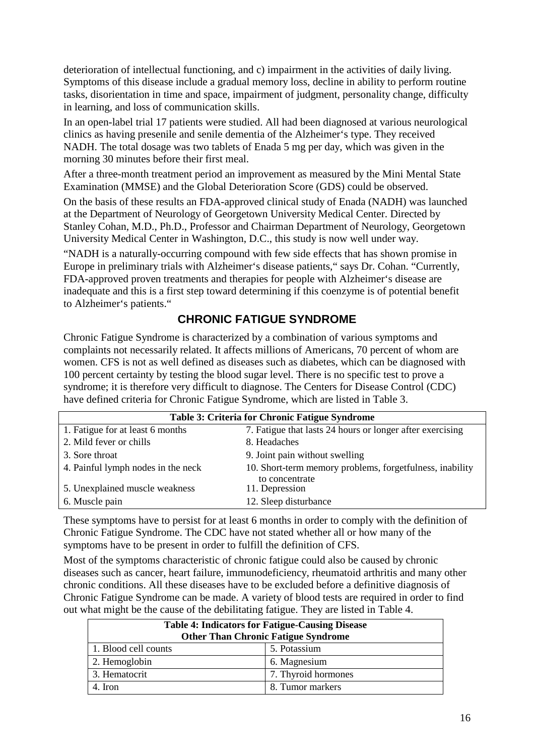deterioration of intellectual functioning, and c) impairment in the activities of daily living. Symptoms of this disease include a gradual memory loss, decline in ability to perform routine tasks, disorientation in time and space, impairment of judgment, personality change, difficulty in learning, and loss of communication skills.

In an open-label trial 17 patients were studied. All had been diagnosed at various neurological clinics as having presenile and senile dementia of the Alzheimer's type. They received NADH. The total dosage was two tablets of Enada 5 mg per day, which was given in the morning 30 minutes before their first meal.

After a three-month treatment period an improvement as measured by the Mini Mental State Examination (MMSE) and the Global Deterioration Score (GDS) could be observed.

On the basis of these results an FDA-approved clinical study of Enada (NADH) was launched at the Department of Neurology of Georgetown University Medical Center. Directed by Stanley Cohan, M.D., Ph.D., Professor and Chairman Department of Neurology, Georgetown University Medical Center in Washington, D.C., this study is now well under way.

"NADH is a naturally-occurring compound with few side effects that has shown promise in Europe in preliminary trials with Alzheimer's disease patients," says Dr. Cohan. "Currently, FDA-approved proven treatments and therapies for people with Alzheimer's disease are inadequate and this is a first step toward determining if this coenzyme is of potential benefit to Alzheimer's patients."

#### **CHRONIC FATIGUE SYNDROME**

Chronic Fatigue Syndrome is characterized by a combination of various symptoms and complaints not necessarily related. It affects millions of Americans, 70 percent of whom are women. CFS is not as well defined as diseases such as diabetes, which can be diagnosed with 100 percent certainty by testing the blood sugar level. There is no specific test to prove a syndrome; it is therefore very difficult to diagnose. The Centers for Disease Control (CDC) have defined criteria for Chronic Fatigue Syndrome, which are listed in Table 3.

| Table 3: Criteria for Chronic Fatigue Syndrome |                                                           |  |  |
|------------------------------------------------|-----------------------------------------------------------|--|--|
| 1. Fatigue for at least 6 months               | 7. Fatigue that lasts 24 hours or longer after exercising |  |  |
| 2. Mild fever or chills                        | 8. Headaches                                              |  |  |
| 3. Sore throat                                 | 9. Joint pain without swelling                            |  |  |
| 4. Painful lymph nodes in the neck             | 10. Short-term memory problems, forgetfulness, inability  |  |  |
| 5. Unexplained muscle weakness                 | to concentrate<br>11. Depression                          |  |  |
| 6. Muscle pain                                 | 12. Sleep disturbance                                     |  |  |

These symptoms have to persist for at least 6 months in order to comply with the definition of Chronic Fatigue Syndrome. The CDC have not stated whether all or how many of the symptoms have to be present in order to fulfill the definition of CFS.

Most of the symptoms characteristic of chronic fatigue could also be caused by chronic diseases such as cancer, heart failure, immunodeficiency, rheumatoid arthritis and many other chronic conditions. All these diseases have to be excluded before a definitive diagnosis of Chronic Fatigue Syndrome can be made. A variety of blood tests are required in order to find out what might be the cause of the debilitating fatigue. They are listed in Table 4.

| <b>Table 4: Indicators for Fatigue-Causing Disease</b><br><b>Other Than Chronic Fatigue Syndrome</b> |                     |  |  |
|------------------------------------------------------------------------------------------------------|---------------------|--|--|
| 1. Blood cell counts                                                                                 | 5. Potassium        |  |  |
| 2. Hemoglobin                                                                                        | 6. Magnesium        |  |  |
| 3. Hematocrit                                                                                        | 7. Thyroid hormones |  |  |
| 4. Iron                                                                                              | 8. Tumor markers    |  |  |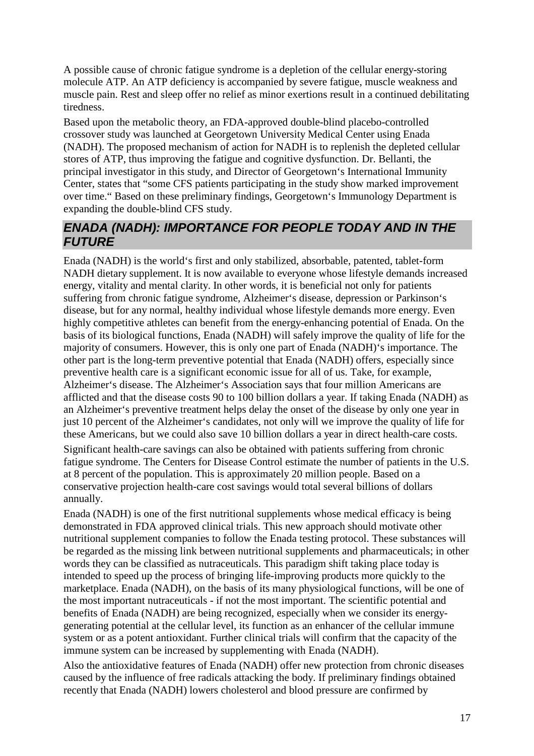A possible cause of chronic fatigue syndrome is a depletion of the cellular energy-storing molecule ATP. An ATP deficiency is accompanied by severe fatigue, muscle weakness and muscle pain. Rest and sleep offer no relief as minor exertions result in a continued debilitating tiredness.

Based upon the metabolic theory, an FDA-approved double-blind placebo-controlled crossover study was launched at Georgetown University Medical Center using Enada (NADH). The proposed mechanism of action for NADH is to replenish the depleted cellular stores of ATP, thus improving the fatigue and cognitive dysfunction. Dr. Bellanti, the principal investigator in this study, and Director of Georgetown's International Immunity Center, states that "some CFS patients participating in the study show marked improvement over time." Based on these preliminary findings, Georgetown's Immunology Department is expanding the double-blind CFS study.

# **ENADA (NADH): IMPORTANCE FOR PEOPLE TODAY AND IN THE FUTURE**

Enada (NADH) is the world's first and only stabilized, absorbable, patented, tablet-form NADH dietary supplement. It is now available to everyone whose lifestyle demands increased energy, vitality and mental clarity. In other words, it is beneficial not only for patients suffering from chronic fatigue syndrome, Alzheimer's disease, depression or Parkinson's disease, but for any normal, healthy individual whose lifestyle demands more energy. Even highly competitive athletes can benefit from the energy-enhancing potential of Enada. On the basis of its biological functions, Enada (NADH) will safely improve the quality of life for the majority of consumers. However, this is only one part of Enada (NADH)'s importance. The other part is the long-term preventive potential that Enada (NADH) offers, especially since preventive health care is a significant economic issue for all of us. Take, for example, Alzheimer's disease. The Alzheimer's Association says that four million Americans are afflicted and that the disease costs 90 to 100 billion dollars a year. If taking Enada (NADH) as an Alzheimer's preventive treatment helps delay the onset of the disease by only one year in just 10 percent of the Alzheimer's candidates, not only will we improve the quality of life for these Americans, but we could also save 10 billion dollars a year in direct health-care costs.

Significant health-care savings can also be obtained with patients suffering from chronic fatigue syndrome. The Centers for Disease Control estimate the number of patients in the U.S. at 8 percent of the population. This is approximately 20 million people. Based on a conservative projection health-care cost savings would total several billions of dollars annually.

Enada (NADH) is one of the first nutritional supplements whose medical efficacy is being demonstrated in FDA approved clinical trials. This new approach should motivate other nutritional supplement companies to follow the Enada testing protocol. These substances will be regarded as the missing link between nutritional supplements and pharmaceuticals; in other words they can be classified as nutraceuticals. This paradigm shift taking place today is intended to speed up the process of bringing life-improving products more quickly to the marketplace. Enada (NADH), on the basis of its many physiological functions, will be one of the most important nutraceuticals - if not the most important. The scientific potential and benefits of Enada (NADH) are being recognized, especially when we consider its energygenerating potential at the cellular level, its function as an enhancer of the cellular immune system or as a potent antioxidant. Further clinical trials will confirm that the capacity of the immune system can be increased by supplementing with Enada (NADH).

Also the antioxidative features of Enada (NADH) offer new protection from chronic diseases caused by the influence of free radicals attacking the body. If preliminary findings obtained recently that Enada (NADH) lowers cholesterol and blood pressure are confirmed by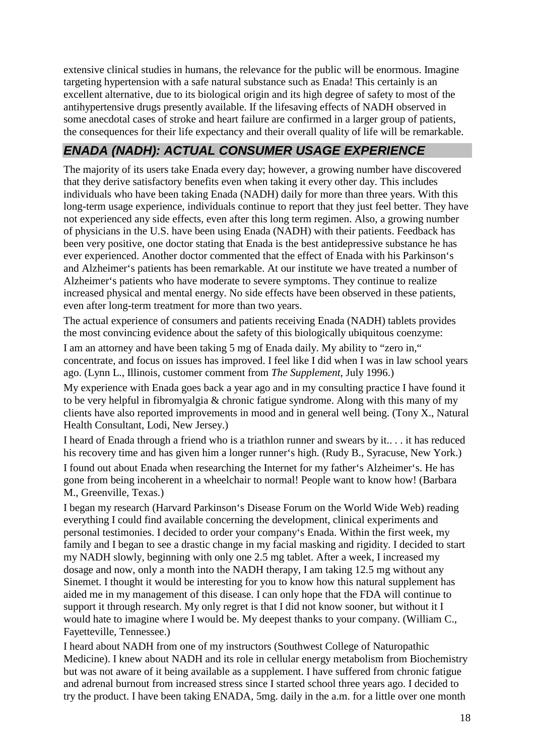extensive clinical studies in humans, the relevance for the public will be enormous. Imagine targeting hypertension with a safe natural substance such as Enada! This certainly is an excellent alternative, due to its biological origin and its high degree of safety to most of the antihypertensive drugs presently available. If the lifesaving effects of NADH observed in some anecdotal cases of stroke and heart failure are confirmed in a larger group of patients, the consequences for their life expectancy and their overall quality of life will be remarkable.

# **ENADA (NADH): ACTUAL CONSUMER USAGE EXPERIENCE**

The majority of its users take Enada every day; however, a growing number have discovered that they derive satisfactory benefits even when taking it every other day. This includes individuals who have been taking Enada (NADH) daily for more than three years. With this long-term usage experience, individuals continue to report that they just feel better. They have not experienced any side effects, even after this long term regimen. Also, a growing number of physicians in the U.S. have been using Enada (NADH) with their patients. Feedback has been very positive, one doctor stating that Enada is the best antidepressive substance he has ever experienced. Another doctor commented that the effect of Enada with his Parkinson's and Alzheimer's patients has been remarkable. At our institute we have treated a number of Alzheimer's patients who have moderate to severe symptoms. They continue to realize increased physical and mental energy. No side effects have been observed in these patients, even after long-term treatment for more than two years.

The actual experience of consumers and patients receiving Enada (NADH) tablets provides the most convincing evidence about the safety of this biologically ubiquitous coenzyme:

I am an attorney and have been taking 5 mg of Enada daily. My ability to "zero in," concentrate, and focus on issues has improved. I feel like I did when I was in law school years ago. (Lynn L., Illinois, customer comment from *The Supplement*, July 1996.)

My experience with Enada goes back a year ago and in my consulting practice I have found it to be very helpful in fibromyalgia & chronic fatigue syndrome. Along with this many of my clients have also reported improvements in mood and in general well being. (Tony X., Natural Health Consultant, Lodi, New Jersey.)

I heard of Enada through a friend who is a triathlon runner and swears by it.. . . it has reduced his recovery time and has given him a longer runner's high. (Rudy B., Syracuse, New York.) I found out about Enada when researching the Internet for my father's Alzheimer's. He has gone from being incoherent in a wheelchair to normal! People want to know how! (Barbara M., Greenville, Texas.)

I began my research (Harvard Parkinson's Disease Forum on the World Wide Web) reading everything I could find available concerning the development, clinical experiments and personal testimonies. I decided to order your company's Enada. Within the first week, my family and I began to see a drastic change in my facial masking and rigidity. I decided to start my NADH slowly, beginning with only one 2.5 mg tablet. After a week, I increased my dosage and now, only a month into the NADH therapy, I am taking 12.5 mg without any Sinemet. I thought it would be interesting for you to know how this natural supplement has aided me in my management of this disease. I can only hope that the FDA will continue to support it through research. My only regret is that I did not know sooner, but without it I would hate to imagine where I would be. My deepest thanks to your company. (William C., Fayetteville, Tennessee.)

I heard about NADH from one of my instructors (Southwest College of Naturopathic Medicine). I knew about NADH and its role in cellular energy metabolism from Biochemistry but was not aware of it being available as a supplement. I have suffered from chronic fatigue and adrenal burnout from increased stress since I started school three years ago. I decided to try the product. I have been taking ENADA, 5mg. daily in the a.m. for a little over one month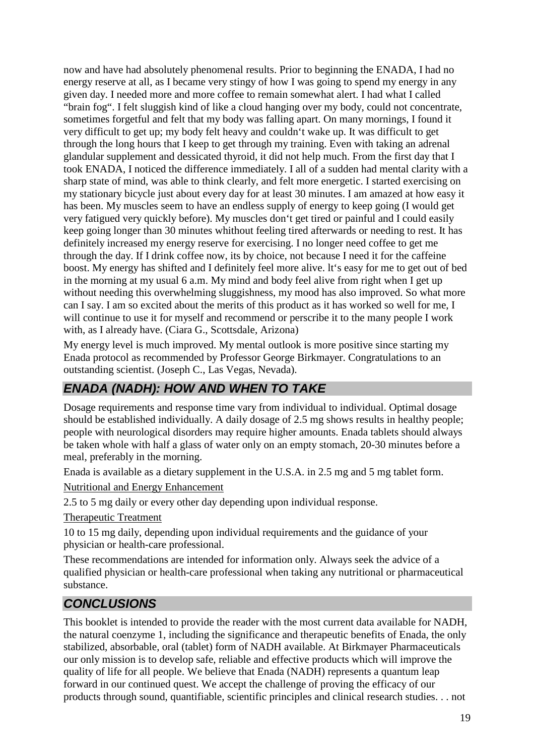now and have had absolutely phenomenal results. Prior to beginning the ENADA, I had no energy reserve at all, as I became very stingy of how I was going to spend my energy in any given day. I needed more and more coffee to remain somewhat alert. I had what I called "brain fog". I felt sluggish kind of like a cloud hanging over my body, could not concentrate, sometimes forgetful and felt that my body was falling apart. On many mornings, I found it very difficult to get up; my body felt heavy and couldn't wake up. It was difficult to get through the long hours that I keep to get through my training. Even with taking an adrenal glandular supplement and dessicated thyroid, it did not help much. From the first day that I took ENADA, I noticed the difference immediately. I all of a sudden had mental clarity with a sharp state of mind, was able to think clearly, and felt more energetic. I started exercising on my stationary bicycle just about every day for at least 30 minutes. I am amazed at how easy it has been. My muscles seem to have an endless supply of energy to keep going (I would get very fatigued very quickly before). My muscles don't get tired or painful and I could easily keep going longer than 30 minutes whithout feeling tired afterwards or needing to rest. It has definitely increased my energy reserve for exercising. I no longer need coffee to get me through the day. If I drink coffee now, its by choice, not because I need it for the caffeine boost. My energy has shifted and I definitely feel more alive. lt's easy for me to get out of bed in the morning at my usual 6 a.m. My mind and body feel alive from right when I get up without needing this overwhelming sluggishness, my mood has also improved. So what more can I say. I am so excited about the merits of this product as it has worked so well for me, I will continue to use it for myself and recommend or perscribe it to the many people I work with, as I already have. (Ciara G., Scottsdale, Arizona)

My energy level is much improved. My mental outlook is more positive since starting my Enada protocol as recommended by Professor George Birkmayer. Congratulations to an outstanding scientist. (Joseph C., Las Vegas, Nevada).

# **ENADA (NADH): HOW AND WHEN TO TAKE**

Dosage requirements and response time vary from individual to individual. Optimal dosage should be established individually. A daily dosage of 2.5 mg shows results in healthy people; people with neurological disorders may require higher amounts. Enada tablets should always be taken whole with half a glass of water only on an empty stomach, 20-30 minutes before a meal, preferably in the morning.

Enada is available as a dietary supplement in the U.S.A. in 2.5 mg and 5 mg tablet form.

Nutritional and Energy Enhancement

2.5 to 5 mg daily or every other day depending upon individual response.

Therapeutic Treatment

10 to 15 mg daily, depending upon individual requirements and the guidance of your physician or health-care professional.

These recommendations are intended for information only. Always seek the advice of a qualified physician or health-care professional when taking any nutritional or pharmaceutical substance.

# **CONCLUSIONS**

This booklet is intended to provide the reader with the most current data available for NADH, the natural coenzyme 1, including the significance and therapeutic benefits of Enada, the only stabilized, absorbable, oral (tablet) form of NADH available. At Birkmayer Pharmaceuticals our only mission is to develop safe, reliable and effective products which will improve the quality of life for all people. We believe that Enada (NADH) represents a quantum leap forward in our continued quest. We accept the challenge of proving the efficacy of our products through sound, quantifiable, scientific principles and clinical research studies. . . not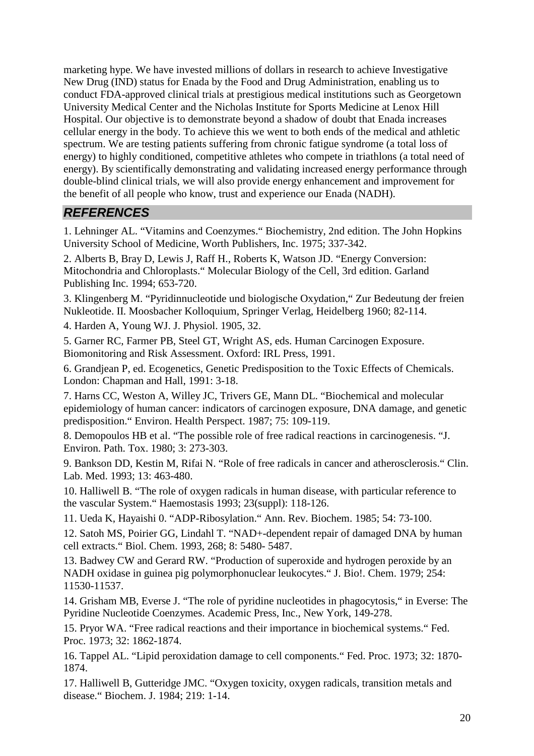marketing hype. We have invested millions of dollars in research to achieve Investigative New Drug (IND) status for Enada by the Food and Drug Administration, enabling us to conduct FDA-approved clinical trials at prestigious medical institutions such as Georgetown University Medical Center and the Nicholas Institute for Sports Medicine at Lenox Hill Hospital. Our objective is to demonstrate beyond a shadow of doubt that Enada increases cellular energy in the body. To achieve this we went to both ends of the medical and athletic spectrum. We are testing patients suffering from chronic fatigue syndrome (a total loss of energy) to highly conditioned, competitive athletes who compete in triathlons (a total need of energy). By scientifically demonstrating and validating increased energy performance through double-blind clinical trials, we will also provide energy enhancement and improvement for the benefit of all people who know, trust and experience our Enada (NADH).

#### **REFERENCES**

1. Lehninger AL. "Vitamins and Coenzymes." Biochemistry, 2nd edition. The John Hopkins University School of Medicine, Worth Publishers, Inc. 1975; 337-342.

2. Alberts B, Bray D, Lewis J, Raff H., Roberts K, Watson JD. "Energy Conversion: Mitochondria and Chloroplasts." Molecular Biology of the Cell, 3rd edition. Garland Publishing Inc. 1994; 653-720.

3. Klingenberg M. "Pyridinnucleotide und biologische Oxydation," Zur Bedeutung der freien Nukleotide. II. Moosbacher Kolloquium, Springer Verlag, Heidelberg 1960; 82-114.

4. Harden A, Young WJ. J. Physiol. 1905, 32.

5. Garner RC, Farmer PB, Steel GT, Wright AS, eds. Human Carcinogen Exposure. Biomonitoring and Risk Assessment. Oxford: IRL Press, 1991.

6. Grandjean P, ed. Ecogenetics, Genetic Predisposition to the Toxic Effects of Chemicals. London: Chapman and Hall, 1991: 3-18.

7. Harns CC, Weston A, Willey JC, Trivers GE, Mann DL. "Biochemical and molecular epidemiology of human cancer: indicators of carcinogen exposure, DNA damage, and genetic predisposition." Environ. Health Perspect. 1987; 75: 109-119.

8. Demopoulos HB et al. "The possible role of free radical reactions in carcinogenesis. "J. Environ. Path. Tox. 1980; 3: 273-303.

9. Bankson DD, Kestin M, Rifai N. "Role of free radicals in cancer and atherosclerosis." Clin. Lab. Med. 1993; 13: 463-480.

10. Halliwell B. "The role of oxygen radicals in human disease, with particular reference to the vascular System." Haemostasis 1993; 23(suppl): 118-126.

11. Ueda K, Hayaishi 0. "ADP-Ribosylation." Ann. Rev. Biochem. 1985; 54: 73-100.

12. Satoh MS, Poirier GG, Lindahl T. "NAD+-dependent repair of damaged DNA by human cell extracts." Biol. Chem. 1993, 268; 8: 5480- 5487.

13. Badwey CW and Gerard RW. "Production of superoxide and hydrogen peroxide by an NADH oxidase in guinea pig polymorphonuclear leukocytes." J. Bio!. Chem. 1979; 254: 11530-11537.

14. Grisham MB, Everse J. "The role of pyridine nucleotides in phagocytosis," in Everse: The Pyridine Nucleotide Coenzymes. Academic Press, Inc., New York, 149-278.

15. Pryor WA. "Free radical reactions and their importance in biochemical systems." Fed. Proc. 1973; 32: 1862-1874.

16. Tappel AL. "Lipid peroxidation damage to cell components." Fed. Proc. 1973; 32: 1870- 1874.

17. Halliwell B, Gutteridge JMC. "Oxygen toxicity, oxygen radicals, transition metals and disease." Biochem. J. 1984; 219: 1-14.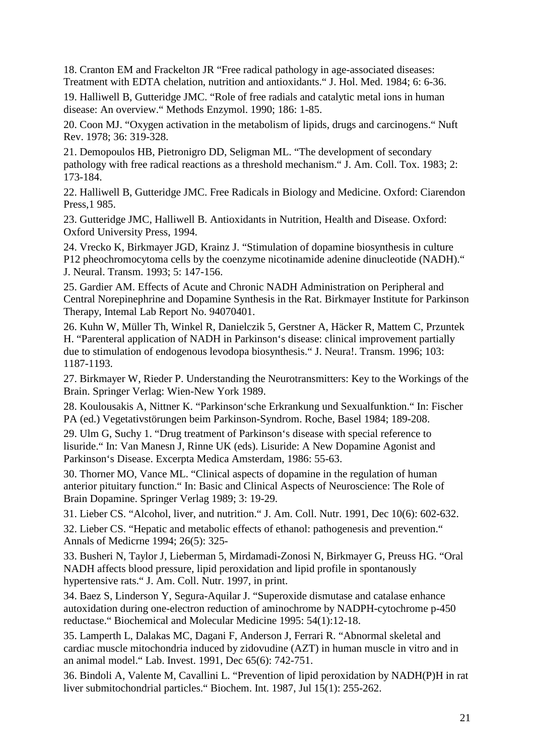18. Cranton EM and Frackelton JR "Free radical pathology in age-associated diseases: Treatment with EDTA chelation, nutrition and antioxidants." J. Hol. Med. 1984; 6: 6-36.

19. Halliwell B, Gutteridge JMC. "Role of free radials and catalytic metal ions in human disease: An overview." Methods Enzymol. 1990; 186: 1-85.

20. Coon MJ. "Oxygen activation in the metabolism of lipids, drugs and carcinogens." Nuft Rev. 1978; 36: 319-328.

21. Demopoulos HB, Pietronigro DD, Seligman ML. "The development of secondary pathology with free radical reactions as a threshold mechanism." J. Am. Coll. Tox. 1983; 2: 173-184.

22. Halliwell B, Gutteridge JMC. Free Radicals in Biology and Medicine. Oxford: Ciarendon Press,1 985.

23. Gutteridge JMC, Halliwell B. Antioxidants in Nutrition, Health and Disease. Oxford: Oxford University Press, 1994.

24. Vrecko K, Birkmayer JGD, Krainz J. "Stimulation of dopamine biosynthesis in culture P12 pheochromocytoma cells by the coenzyme nicotinamide adenine dinucleotide (NADH)." J. Neural. Transm. 1993; 5: 147-156.

25. Gardier AM. Effects of Acute and Chronic NADH Administration on Peripheral and Central Norepinephrine and Dopamine Synthesis in the Rat. Birkmayer Institute for Parkinson Therapy, Intemal Lab Report No. 94070401.

26. Kuhn W, Müller Th, Winkel R, Danielczik 5, Gerstner A, Häcker R, Mattem C, Przuntek H. "Parenteral application of NADH in Parkinson's disease: clinical improvement partially due to stimulation of endogenous levodopa biosynthesis." J. Neura!. Transm. 1996; 103: 1187-1193.

27. Birkmayer W, Rieder P. Understanding the Neurotransmitters: Key to the Workings of the Brain. Springer Verlag: Wien-New York 1989.

28. Koulousakis A, Nittner K. "Parkinson'sche Erkrankung und Sexualfunktion." In: Fischer PA (ed.) Vegetativstörungen beim Parkinson-Syndrom. Roche, Basel 1984; 189-208.

29. Ulm G, Suchy 1. "Drug treatment of Parkinson's disease with special reference to lisuride." In: Van Manesn J, Rinne UK (eds). Lisuride: A New Dopamine Agonist and Parkinson's Disease. Excerpta Medica Amsterdam, 1986: 55-63.

30. Thorner MO, Vance ML. "Clinical aspects of dopamine in the regulation of human anterior pituitary function." In: Basic and Clinical Aspects of Neuroscience: The Role of Brain Dopamine. Springer Verlag 1989; 3: 19-29.

31. Lieber CS. "Alcohol, liver, and nutrition." J. Am. Coll. Nutr. 1991, Dec 10(6): 602-632.

32. Lieber CS. "Hepatic and metabolic effects of ethanol: pathogenesis and prevention." Annals of Medicrne 1994; 26(5): 325-

33. Busheri N, Taylor J, Lieberman 5, Mirdamadi-Zonosi N, Birkmayer G, Preuss HG. "Oral NADH affects blood pressure, lipid peroxidation and lipid profile in spontanously hypertensive rats." J. Am. Coll. Nutr. 1997, in print.

34. Baez S, Linderson Y, Segura-Aquilar J. "Superoxide dismutase and catalase enhance autoxidation during one-electron reduction of aminochrome by NADPH-cytochrome p-450 reductase." Biochemical and Molecular Medicine 1995: 54(1):12-18.

35. Lamperth L, Dalakas MC, Dagani F, Anderson J, Ferrari R. "Abnormal skeletal and cardiac muscle mitochondria induced by zidovudine (AZT) in human muscle in vitro and in an animal model." Lab. Invest. 1991, Dec 65(6): 742-751.

36. Bindoli A, Valente M, Cavallini L. "Prevention of lipid peroxidation by NADH(P)H in rat liver submitochondrial particles." Biochem. Int. 1987, Jul 15(1): 255-262.